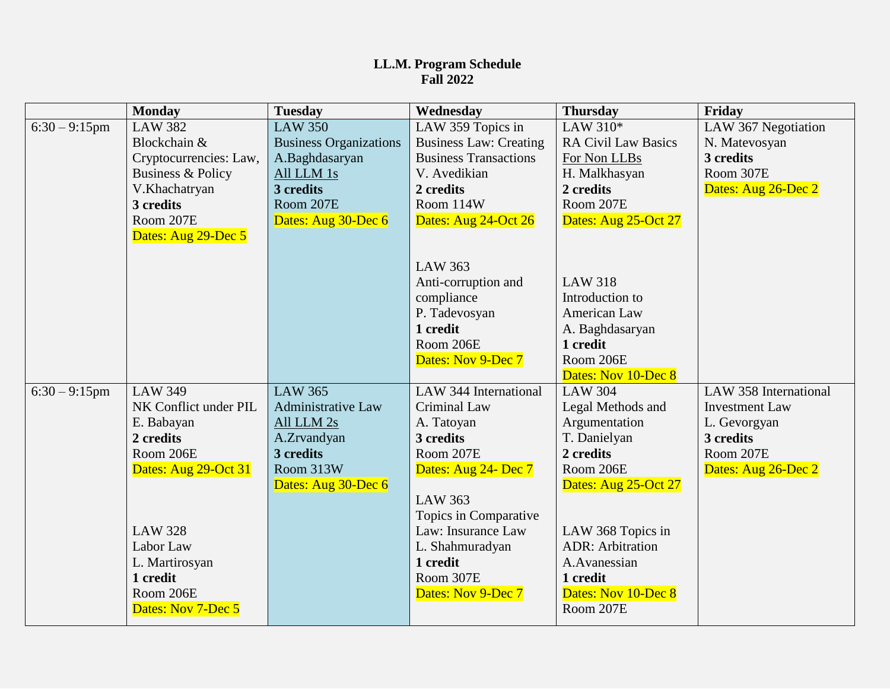## **LL.M. Program Schedule Fall 2022**

|                  | <b>Monday</b>          | <b>Tuesday</b>                | Wednesday                     | <b>Thursday</b>                    | Friday                |
|------------------|------------------------|-------------------------------|-------------------------------|------------------------------------|-----------------------|
| $6:30 - 9:15$ pm | <b>LAW 382</b>         | <b>LAW 350</b>                | LAW 359 Topics in             | LAW 310*                           | LAW 367 Negotiation   |
|                  | Blockchain &           | <b>Business Organizations</b> | <b>Business Law: Creating</b> | <b>RA Civil Law Basics</b>         | N. Matevosyan         |
|                  | Cryptocurrencies: Law, | A.Baghdasaryan                | <b>Business Transactions</b>  | For Non LLBs                       | 3 credits             |
|                  | Business & Policy      | All LLM 1s                    | V. Avedikian                  | H. Malkhasyan                      | Room 307E             |
|                  | V.Khachatryan          | 3 credits                     | 2 credits                     | 2 credits                          | Dates: Aug 26-Dec 2   |
|                  | 3 credits              | Room 207E                     | Room 114W                     | Room 207E                          |                       |
|                  | Room 207E              | Dates: Aug 30-Dec 6           | Dates: Aug 24-Oct 26          | Dates: Aug 25-Oct 27               |                       |
|                  | Dates: Aug 29-Dec 5    |                               |                               |                                    |                       |
|                  |                        |                               |                               |                                    |                       |
|                  |                        |                               | <b>LAW 363</b>                |                                    |                       |
|                  |                        |                               | Anti-corruption and           | <b>LAW 318</b>                     |                       |
|                  |                        |                               | compliance                    | Introduction to                    |                       |
|                  |                        |                               | P. Tadevosyan                 | American Law                       |                       |
|                  |                        |                               | 1 credit                      | A. Baghdasaryan                    |                       |
|                  |                        |                               | Room 206E                     | 1 credit                           |                       |
|                  |                        |                               | Dates: Nov 9-Dec 7            | Room 206E<br>Dates: Nov 10-Dec 8   |                       |
|                  | <b>LAW 349</b>         | LAW 365                       | LAW 344 International         | <b>LAW 304</b>                     | LAW 358 International |
| $6:30 - 9:15$ pm | NK Conflict under PIL  | <b>Administrative Law</b>     | Criminal Law                  |                                    | <b>Investment Law</b> |
|                  | E. Babayan             | All LLM 2s                    | A. Tatoyan                    | Legal Methods and<br>Argumentation | L. Gevorgyan          |
|                  | 2 credits              | A.Zrvandyan                   | 3 credits                     | T. Danielyan                       | 3 credits             |
|                  | Room 206E              | 3 credits                     | Room 207E                     | 2 credits                          | Room 207E             |
|                  | Dates: Aug 29-Oct 31   | Room 313W                     | Dates: Aug 24- Dec 7          | Room 206E                          | Dates: Aug 26-Dec 2   |
|                  |                        | Dates: Aug 30-Dec 6           |                               | Dates: Aug 25-Oct 27               |                       |
|                  |                        |                               | <b>LAW 363</b>                |                                    |                       |
|                  |                        |                               | Topics in Comparative         |                                    |                       |
|                  | <b>LAW 328</b>         |                               | Law: Insurance Law            | LAW 368 Topics in                  |                       |
|                  | Labor Law              |                               | L. Shahmuradyan               | <b>ADR: Arbitration</b>            |                       |
|                  | L. Martirosyan         |                               | 1 credit                      | A.Avanessian                       |                       |
|                  | 1 credit               |                               | Room 307E                     | 1 credit                           |                       |
|                  | Room 206E              |                               | Dates: Nov 9-Dec 7            | Dates: Nov 10-Dec 8                |                       |
|                  | Dates: Nov 7-Dec 5     |                               |                               | Room 207E                          |                       |
|                  |                        |                               |                               |                                    |                       |